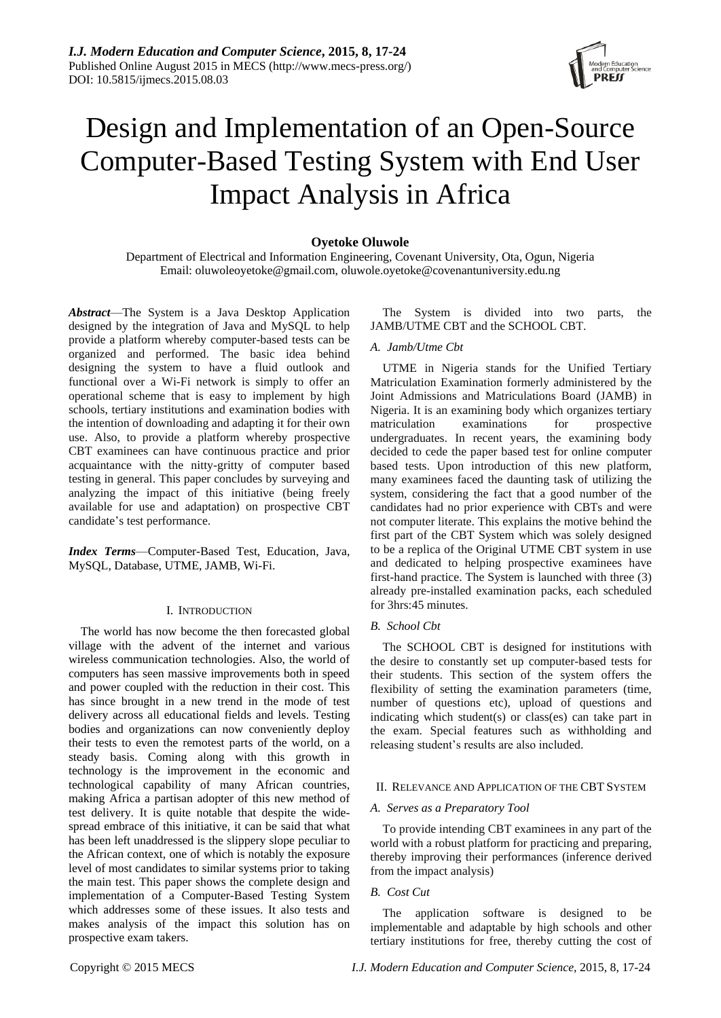# Design and Implementation of an Open-Source Computer-Based Testing System with End User Impact Analysis in Africa

# **Oyetoke Oluwole**

Department of Electrical and Information Engineering, Covenant University, Ota, Ogun, Nigeria Email: oluwoleoyetoke@gmail.com, oluwole.oyetoke@covenantuniversity.edu.ng

*Abstract*—The System is a Java Desktop Application designed by the integration of Java and MySQL to help provide a platform whereby computer-based tests can be organized and performed. The basic idea behind designing the system to have a fluid outlook and functional over a Wi-Fi network is simply to offer an operational scheme that is easy to implement by high schools, tertiary institutions and examination bodies with the intention of downloading and adapting it for their own use. Also, to provide a platform whereby prospective CBT examinees can have continuous practice and prior acquaintance with the nitty-gritty of computer based testing in general. This paper concludes by surveying and analyzing the impact of this initiative (being freely available for use and adaptation) on prospective CBT candidate's test performance.

*Index Terms*—Computer-Based Test, Education, Java, MySQL, Database, UTME, JAMB, Wi-Fi.

#### I. INTRODUCTION

The world has now become the then forecasted global village with the advent of the internet and various wireless communication technologies. Also, the world of computers has seen massive improvements both in speed and power coupled with the reduction in their cost. This has since brought in a new trend in the mode of test delivery across all educational fields and levels. Testing bodies and organizations can now conveniently deploy their tests to even the remotest parts of the world, on a steady basis. Coming along with this growth in technology is the improvement in the economic and technological capability of many African countries, making Africa a partisan adopter of this new method of test delivery. It is quite notable that despite the widespread embrace of this initiative, it can be said that what has been left unaddressed is the slippery slope peculiar to the African context, one of which is notably the exposure level of most candidates to similar systems prior to taking the main test. This paper shows the complete design and implementation of a Computer-Based Testing System which addresses some of these issues. It also tests and makes analysis of the impact this solution has on prospective exam takers.

The System is divided into two parts, the JAMB/UTME CBT and the SCHOOL CBT.

#### *A. Jamb/Utme Cbt*

UTME in Nigeria stands for the Unified Tertiary Matriculation Examination formerly administered by the Joint Admissions and Matriculations Board (JAMB) in Nigeria. It is an examining body which organizes tertiary matriculation examinations for prospective undergraduates. In recent years, the examining body decided to cede the paper based test for online computer based tests. Upon introduction of this new platform, many examinees faced the daunting task of utilizing the system, considering the fact that a good number of the candidates had no prior experience with CBTs and were not computer literate. This explains the motive behind the first part of the CBT System which was solely designed to be a replica of the Original UTME CBT system in use and dedicated to helping prospective examinees have first-hand practice. The System is launched with three (3) already pre-installed examination packs, each scheduled for 3hrs:45 minutes.

#### *B. School Cbt*

The SCHOOL CBT is designed for institutions with the desire to constantly set up computer-based tests for their students. This section of the system offers the flexibility of setting the examination parameters (time, number of questions etc), upload of questions and indicating which student(s) or class(es) can take part in the exam. Special features such as withholding and releasing student's results are also included.

## II. RELEVANCE AND APPLICATION OF THE CBT SYSTEM

#### *A. Serves as a Preparatory Tool*

To provide intending CBT examinees in any part of the world with a robust platform for practicing and preparing, thereby improving their performances (inference derived from the impact analysis)

# *B. Cost Cut*

The application software is designed to be implementable and adaptable by high schools and other tertiary institutions for free, thereby cutting the cost of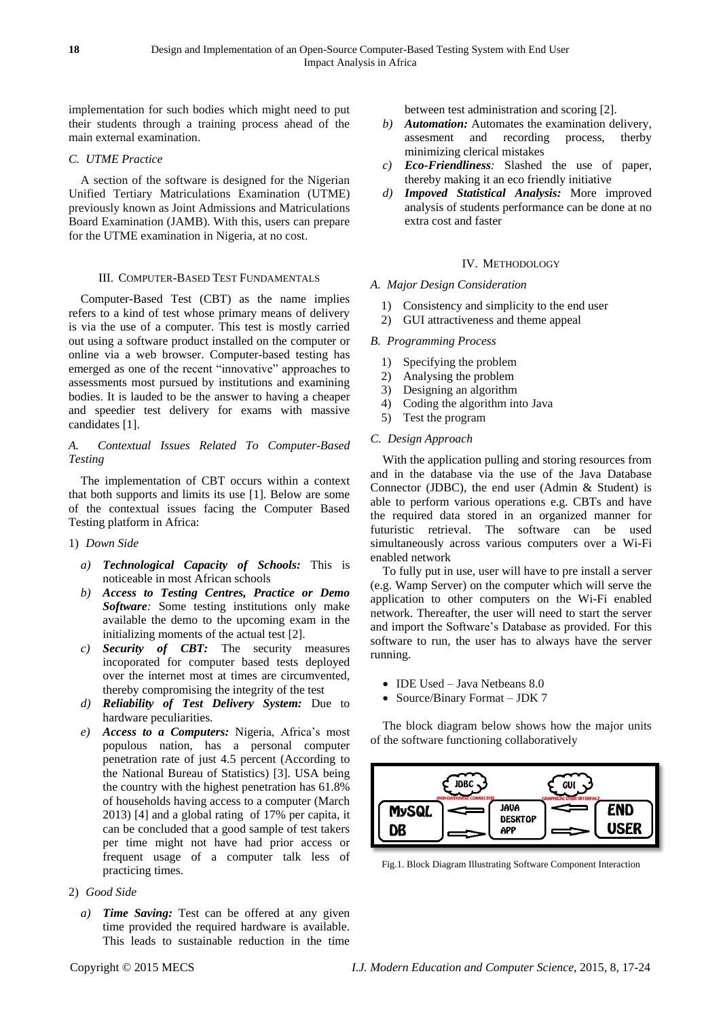implementation for such bodies which might need to put their students through a training process ahead of the main external examination.

# *C. UTME Practice*

A section of the software is designed for the Nigerian Unified Tertiary Matriculations Examination (UTME) previously known as Joint Admissions and Matriculations Board Examination (JAMB). With this, users can prepare for the UTME examination in Nigeria, at no cost.

# III. COMPUTER-BASED TEST FUNDAMENTALS

Computer-Based Test (CBT) as the name implies refers to a kind of test whose primary means of delivery is via the use of a computer. This test is mostly carried out using a software product installed on the computer or online via a web browser. Computer-based testing has emerged as one of the recent "innovative" approaches to assessments most pursued by institutions and examining bodies. It is lauded to be the answer to having a cheaper and speedier test delivery for exams with massive candidates [1].

# *A. Contextual Issues Related To Computer-Based Testing*

The implementation of CBT occurs within a context that both supports and limits its use [1]. Below are some of the contextual issues facing the Computer Based Testing platform in Africa:

# 1) *Down Side*

- *a) Technological Capacity of Schools:* This is noticeable in most African schools
- *b) Access to Testing Centres, Practice or Demo Software:* Some testing institutions only make available the demo to the upcoming exam in the initializing moments of the actual test [2].
- *c) Security of CBT:* The security measures incoporated for computer based tests deployed over the internet most at times are circumvented, thereby compromising the integrity of the test
- *d) Reliability of Test Delivery System:* Due to hardware peculiarities.
- *e) Access to a Computers:* Nigeria, Africa's most populous nation, has a personal computer penetration rate of just 4.5 percent (According to the National Bureau of Statistics) [3]. USA being the country with the highest penetration has 61.8% of households having access to a computer (March 2013) [4] and a global rating of 17% per capita, it can be concluded that a good sample of test takers per time might not have had prior access or frequent usage of a computer talk less of practicing times.

#### 2) *Good Side*

*a) Time Saving:* Test can be offered at any given time provided the required hardware is available. This leads to sustainable reduction in the time

between test administration and scoring [2].

- *b) Automation:* Automates the examination delivery, assesment and recording process, therby minimizing clerical mistakes
- *c) Eco-Friendliness:* Slashed the use of paper, thereby making it an eco friendly initiative
- *d) Impoved Statistical Analysis:* More improved analysis of students performance can be done at no extra cost and faster

# IV. METHODOLOGY

# *A. Major Design Consideration*

- 1) Consistency and simplicity to the end user
- 2) GUI attractiveness and theme appeal

# *B. Programming Process*

Impact Analysis in Africa

- 1) Specifying the problem
- 2) Analysing the problem
- 3) Designing an algorithm
- 4) Coding the algorithm into Java
- 5) Test the program

# *C. Design Approach*

With the application pulling and storing resources from and in the database via the use of the Java Database Connector (JDBC), the end user (Admin & Student) is able to perform various operations e.g. CBTs and have the required data stored in an organized manner for futuristic retrieval. The software can be used simultaneously across various computers over a Wi-Fi enabled network

To fully put in use, user will have to pre install a server (e.g. Wamp Server) on the computer which will serve the application to other computers on the Wi-Fi enabled network. Thereafter, the user will need to start the server and import the Software's Database as provided. For this software to run, the user has to always have the server running.

- $\bullet$  IDE Used Java Netbeans 8.0
- Source/Binary Format JDK 7

The block diagram below shows how the major units of the software functioning collaboratively



Fig.1. Block Diagram Illustrating Software Component Interaction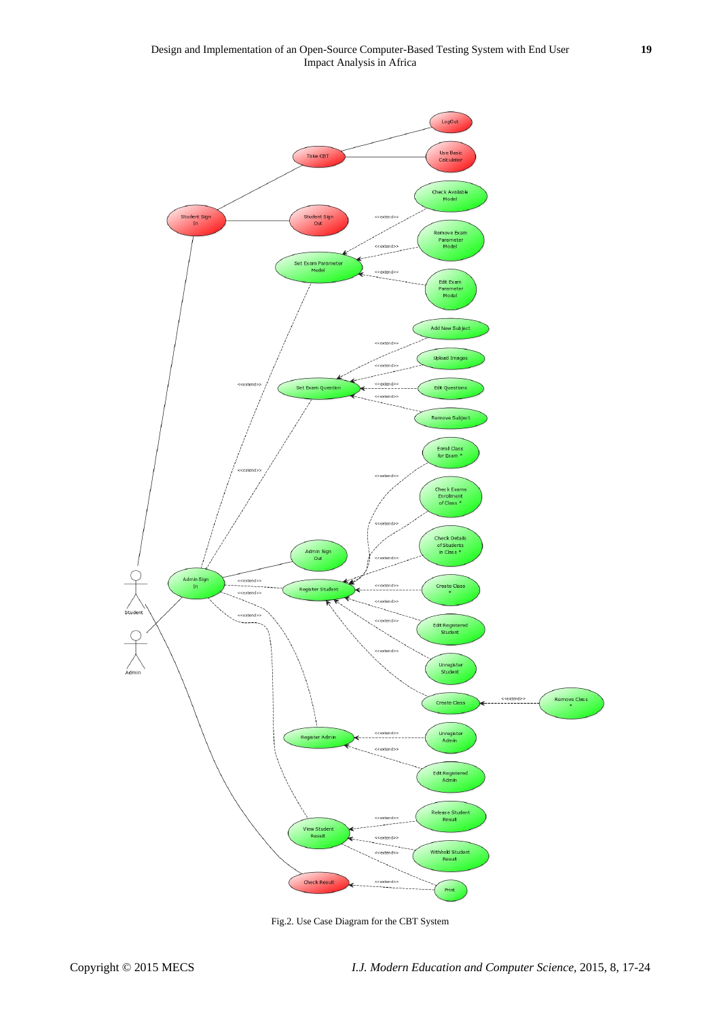

Fig.2. Use Case Diagram for the CBT System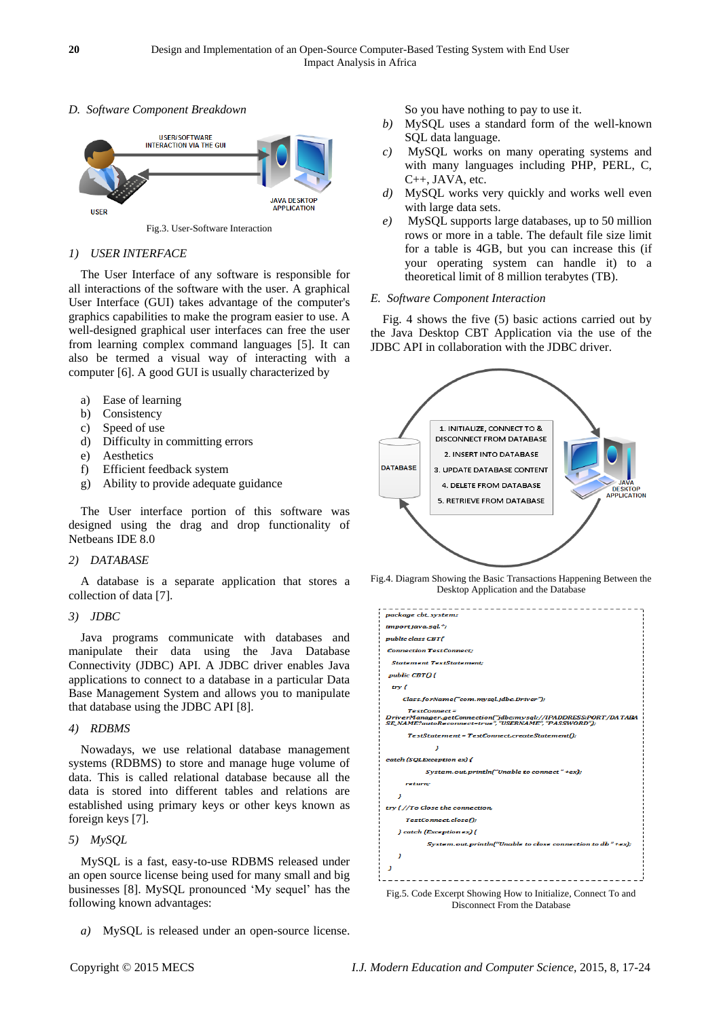# *D. Software Component Breakdown*



# *1) USER INTERFACE*

The User Interface of any software is responsible for all interactions of the software with the user. A graphical User Interface (GUI) takes advantage of the computer's graphics capabilities to make the program easier to use. A well-designed graphical user interfaces can free the user from learning complex command languages [5]. It can also be termed a visual way of interacting with a computer [6]. A good GUI is usually characterized by

- a) Ease of learning
- b) Consistency
- c) Speed of use
- d) Difficulty in committing errors
- e) Aesthetics
- f) Efficient feedback system
- g) Ability to provide adequate guidance

The User interface portion of this software was designed using the drag and drop functionality of Netbeans IDE 8.0

# *2) DATABASE*

A database is a separate application that stores a collection of data [7].

# *3) JDBC*

Java programs communicate with databases and manipulate their data using the Java Database Connectivity (JDBC) API. A JDBC driver enables Java applications to connect to a database in a particular Data Base Management System and allows you to manipulate that database using the JDBC API [8].

# *4) RDBMS*

Nowadays, we use relational database management systems (RDBMS) to store and manage huge volume of data. This is called relational database because all the data is stored into different tables and relations are established using primary keys or other keys known as foreign keys [7].

# *5) MySQL*

MySQL is a fast, easy-to-use RDBMS released under an open source license being used for many small and big businesses [8]. MySQL pronounced 'My sequel' has the following known advantages:

*a)* MySQL is released under an open-source license.

So you have nothing to pay to use it.

- *b)* MySQL uses a standard form of the well-known SQL data language.
- *c)* MySQL works on many operating systems and with many languages including PHP, PERL, C, C++, JAVA, etc.
- *d)* MySQL works very quickly and works well even with large data sets.
- *e)* MySQL supports large databases, up to 50 million rows or more in a table. The default file size limit for a table is 4GB, but you can increase this (if your operating system can handle it) to a theoretical limit of 8 million terabytes (TB).

# *E. Software Component Interaction*

Fig. 4 shows the five (5) basic actions carried out by the Java Desktop CBT Application via the use of the JDBC API in collaboration with the JDBC driver.



Fig.4. Diagram Showing the Basic Transactions Happening Between the Desktop Application and the Database

| package cbt_system;                                                                                                                            |
|------------------------------------------------------------------------------------------------------------------------------------------------|
| import java.sal.";                                                                                                                             |
| public class CBT{                                                                                                                              |
| <b>Connection TestConnect:</b>                                                                                                                 |
| <b>Statement TestStatement:</b>                                                                                                                |
| public CBT(){                                                                                                                                  |
| try {                                                                                                                                          |
| Class.forName("com.mysql.jdbc.Driver");                                                                                                        |
| <b>TestConnect =</b><br>DriverManager.getConnection("jdbc:mysql://IPADDRESS:PORT/DATABA<br>SE_NAME?autoReconnect=true","USERNAME","PASSWORD"); |
| TestStatement = TestConnect.createStatement();                                                                                                 |
| з                                                                                                                                              |
| catch (SQLException ex) {                                                                                                                      |
| System.out.println("Unable to connect"+ex);                                                                                                    |
| return:                                                                                                                                        |
| з                                                                                                                                              |
| try {//To Close the connection,                                                                                                                |
| TestConnect.close();                                                                                                                           |
| } catch (Exception ex) {                                                                                                                       |
| System.out.println("Unable to close connection to db "+ex);                                                                                    |
|                                                                                                                                                |
|                                                                                                                                                |
|                                                                                                                                                |

Fig.5. Code Excerpt Showing How to Initialize, Connect To and Disconnect From the Database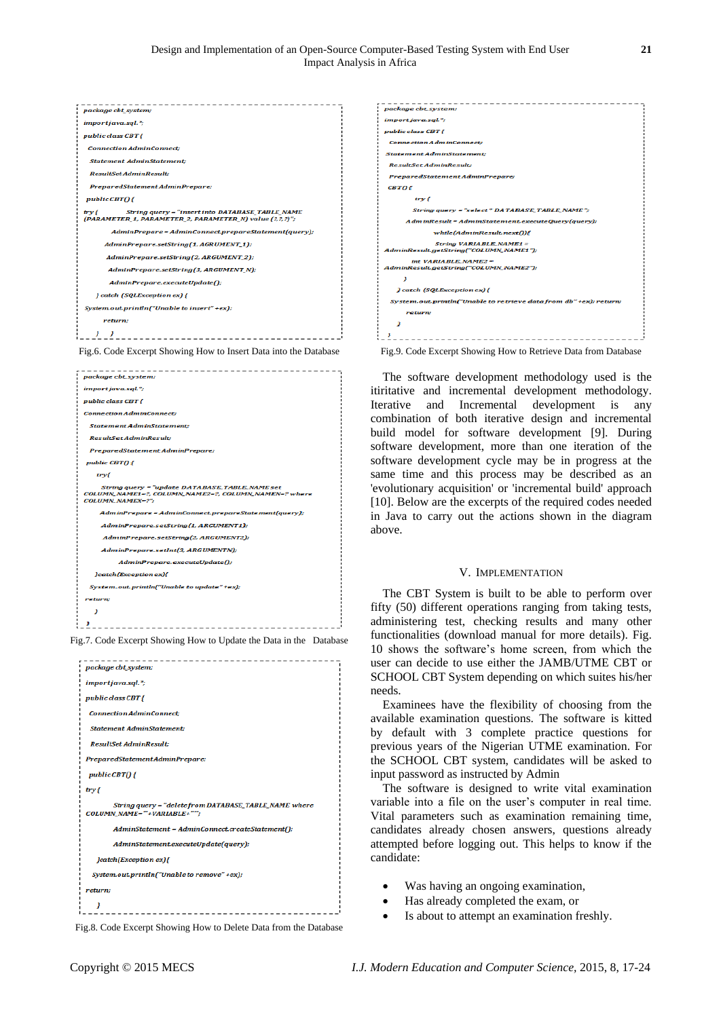| importjava.sql.*;<br>public class CBT {<br><b>Connection AdminConnect:</b><br><b>Statement AdminStatement:</b><br><b>ResultSet AdminResult:</b><br>PreparedStatementAdminPrepare;<br>public CBT(){<br>String query = "insert into DATABASE_TABLE_NAME<br>try {<br>(PARAMETER_1, PARAMETER_2, PARAMETER_N) value (?,?,?)";<br>AdminPrepare = AdminConnect.prepareStatement(query);<br>AdminPrepare.setString(1, AGRUMENT_1);<br>AdminPrepare.setString(2, ARGUMENT_2);<br>AdminPrepare.setString(3, ARGUMENT_N);<br>AdminPrepare.executeUpdate();<br>} catch (SQLException ex) {<br>System.out.println("Unable to insert" +ex);<br>return: | package cbt_system: |
|-------------------------------------------------------------------------------------------------------------------------------------------------------------------------------------------------------------------------------------------------------------------------------------------------------------------------------------------------------------------------------------------------------------------------------------------------------------------------------------------------------------------------------------------------------------------------------------------------------------------------------------------|---------------------|
|                                                                                                                                                                                                                                                                                                                                                                                                                                                                                                                                                                                                                                           |                     |
|                                                                                                                                                                                                                                                                                                                                                                                                                                                                                                                                                                                                                                           |                     |
|                                                                                                                                                                                                                                                                                                                                                                                                                                                                                                                                                                                                                                           |                     |
|                                                                                                                                                                                                                                                                                                                                                                                                                                                                                                                                                                                                                                           |                     |
|                                                                                                                                                                                                                                                                                                                                                                                                                                                                                                                                                                                                                                           |                     |
|                                                                                                                                                                                                                                                                                                                                                                                                                                                                                                                                                                                                                                           |                     |
|                                                                                                                                                                                                                                                                                                                                                                                                                                                                                                                                                                                                                                           |                     |
|                                                                                                                                                                                                                                                                                                                                                                                                                                                                                                                                                                                                                                           |                     |
|                                                                                                                                                                                                                                                                                                                                                                                                                                                                                                                                                                                                                                           |                     |
|                                                                                                                                                                                                                                                                                                                                                                                                                                                                                                                                                                                                                                           |                     |
|                                                                                                                                                                                                                                                                                                                                                                                                                                                                                                                                                                                                                                           |                     |
|                                                                                                                                                                                                                                                                                                                                                                                                                                                                                                                                                                                                                                           |                     |
|                                                                                                                                                                                                                                                                                                                                                                                                                                                                                                                                                                                                                                           |                     |
|                                                                                                                                                                                                                                                                                                                                                                                                                                                                                                                                                                                                                                           |                     |
|                                                                                                                                                                                                                                                                                                                                                                                                                                                                                                                                                                                                                                           |                     |
|                                                                                                                                                                                                                                                                                                                                                                                                                                                                                                                                                                                                                                           |                     |
|                                                                                                                                                                                                                                                                                                                                                                                                                                                                                                                                                                                                                                           | ---------------     |







| package cbt_system;                                                                   |
|---------------------------------------------------------------------------------------|
| importjava.sql.*;                                                                     |
| public class CBT {                                                                    |
| <b>Connection AdminConnect:</b>                                                       |
| <b>Statement AdminStatement:</b>                                                      |
| <b>ResultSet AdminResult:</b>                                                         |
| PreparedStatement AdminPrepare;                                                       |
| public CBT() {                                                                        |
| try {                                                                                 |
| String query = "delete from DATABASE_TABLE_NAME where<br>COLUMN NAME=""+VARIABLE+"""; |
| AdminStatement = AdminConnect.createStatement();                                      |
| AdminStatement.executeUpdate(query);                                                  |
| <i>catch(Exception ex){</i>                                                           |
| System.out.println("Unable to remove" +ex);                                           |
| return;                                                                               |
|                                                                                       |
|                                                                                       |





The software development methodology used is the itiritative and incremental development methodology. Iterative and Incremental development is any combination of both iterative design and incremental build model for software development [9]. During software development, more than one iteration of the software development cycle may be in progress at the same time and this process may be described as an 'evolutionary acquisition' or 'incremental build' approach [10]. Below are the excerpts of the required codes needed in Java to carry out the actions shown in the diagram above.

#### V. IMPLEMENTATION

The CBT System is built to be able to perform over fifty (50) different operations ranging from taking tests, administering test, checking results and many other functionalities (download manual for more details). Fig. 10 shows the software's home screen, from which the user can decide to use either the JAMB/UTME CBT or SCHOOL CBT System depending on which suites his/her needs.

Examinees have the flexibility of choosing from the available examination questions. The software is kitted by default with 3 complete practice questions for previous years of the Nigerian UTME examination. For the SCHOOL CBT system, candidates will be asked to input password as instructed by Admin

The software is designed to write vital examination variable into a file on the user's computer in real time. Vital parameters such as examination remaining time, candidates already chosen answers, questions already attempted before logging out. This helps to know if the candidate:

- Was having an ongoing examination,
- Has already completed the exam, or
- Is about to attempt an examination freshly.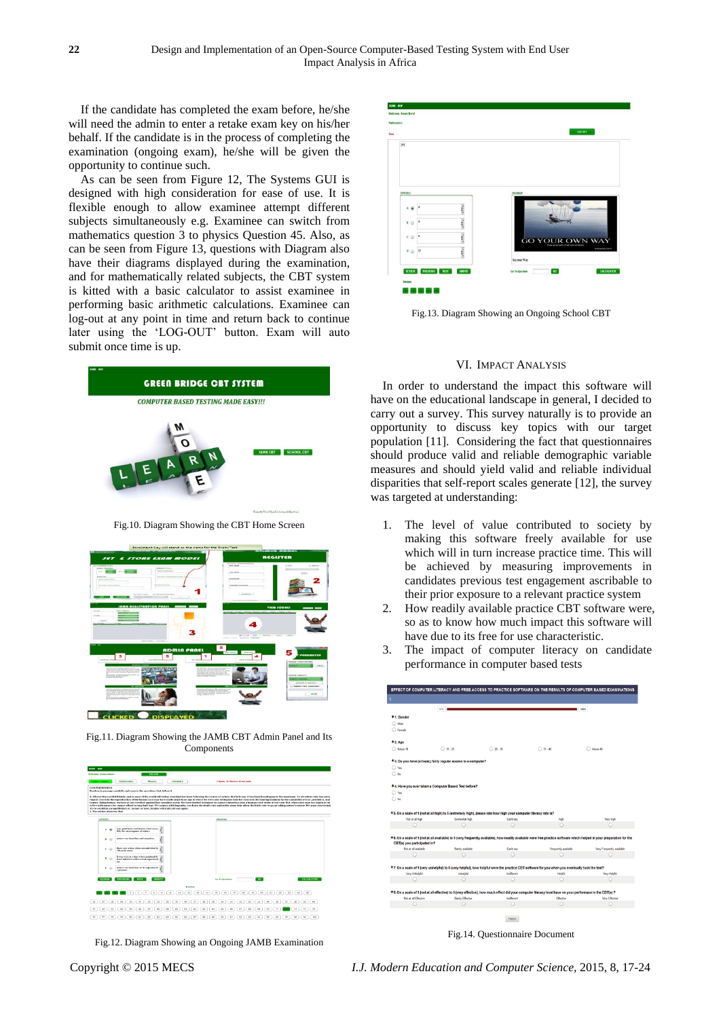If the candidate has completed the exam before, he/she will need the admin to enter a retake exam key on his/her behalf. If the candidate is in the process of completing the examination (ongoing exam), he/she will be given the opportunity to continue such.

As can be seen from Figure 12, The Systems GUI is designed with high consideration for ease of use. It is flexible enough to allow examinee attempt different subjects simultaneously e.g. Examinee can switch from mathematics question 3 to physics Question 45. Also, as can be seen from Figure 13, questions with Diagram also have their diagrams displayed during the examination, and for mathematically related subjects, the CBT system is kitted with a basic calculator to assist examinee in performing basic arithmetic calculations. Examinee can log-out at any point in time and return back to continue later using the 'LOG-OUT' button. Exam will auto submit once time is up.



Fig.10. Diagram Showing the CBT Home Screen



Fig.11. Diagram Showing the JAMB CBT Admin Panel and Its Components

| prime serie                 |                                                                                                  |                                                    |                                                                                                                                                                                                                                                                                                                                                                                                                                                                                                                                                                                                                        |                                   |
|-----------------------------|--------------------------------------------------------------------------------------------------|----------------------------------------------------|------------------------------------------------------------------------------------------------------------------------------------------------------------------------------------------------------------------------------------------------------------------------------------------------------------------------------------------------------------------------------------------------------------------------------------------------------------------------------------------------------------------------------------------------------------------------------------------------------------------------|-----------------------------------|
| <b>Weknese, Emma Unsero</b> | 106 007                                                                                          |                                                    |                                                                                                                                                                                                                                                                                                                                                                                                                                                                                                                                                                                                                        |                                   |
| <b>English Languay</b>      | <b>Mathematics</b><br><b>Phone is</b>                                                            | Chamberry                                          | 3 Hours, 34 Hinston 45 Seconds                                                                                                                                                                                                                                                                                                                                                                                                                                                                                                                                                                                         |                                   |
| COMPREHENSION               | Read each passage carefully and answer the questions that follow it.                             |                                                    |                                                                                                                                                                                                                                                                                                                                                                                                                                                                                                                                                                                                                        |                                   |
|                             |                                                                                                  |                                                    | A. All over the world till lately, and in most of the world still today, mankind has been following the course of nature, that is to say, it has been breeding up to the maximum. To let nature take her extra                                                                                                                                                                                                                                                                                                                                                                                                         |                                   |
|                             |                                                                                                  |                                                    | vanant course in the reproduction of the human race may have made sense in an age in which we were also letting her take her course in decimating mankind by the causalities of war, pestilence, and<br>famine. Being human, we have at last reveited against that senseless waste. We have started to impose on nature's heartless play a humane new order of our own. But, when once man has begun to int<br>eefece with nature, he cannot afford to stop half way. We cannot, with impunity, cut down the death rate and at the same time allow the hirth-rate to go on taking nature's course. We must consciously |                                   |
| 1. The author observes that | try to establish an equilibrium or, so oner or later, famine will stalk abroad again.            |                                                    |                                                                                                                                                                                                                                                                                                                                                                                                                                                                                                                                                                                                                        |                                   |
| <b>OPTIONS</b>              |                                                                                                  |                                                    | DIAGRAM                                                                                                                                                                                                                                                                                                                                                                                                                                                                                                                                                                                                                |                                   |
|                             |                                                                                                  |                                                    |                                                                                                                                                                                                                                                                                                                                                                                                                                                                                                                                                                                                                        |                                   |
| ۰                           | war, postsionen and fanssa were eanse<br>d by the entravagance of nature                         |                                                    |                                                                                                                                                                                                                                                                                                                                                                                                                                                                                                                                                                                                                        |                                   |
| ۰<br>$\left($               | nature was hearthess and sensations<br>ę                                                         |                                                    |                                                                                                                                                                                                                                                                                                                                                                                                                                                                                                                                                                                                                        |                                   |
| $c \odot$                   | there was a time when seventralized bi-<br>oth reads somes                                       |                                                    |                                                                                                                                                                                                                                                                                                                                                                                                                                                                                                                                                                                                                        |                                   |
| $\sim$                      | It was wise at a time when maximal di-<br>d not tatective with normal reproducts<br>$\mathbf{m}$ |                                                    |                                                                                                                                                                                                                                                                                                                                                                                                                                                                                                                                                                                                                        |                                   |
| ×.<br><b>CO</b>             | nature was heartless in its reproductiv<br>e process.<br>6                                       |                                                    |                                                                                                                                                                                                                                                                                                                                                                                                                                                                                                                                                                                                                        |                                   |
| <b>REVIEW</b>               | <b>PREVIOUS</b><br><b>SUBRET</b><br><b>NEXT</b>                                                  |                                                    | 60<br><b>Go-To-Opention</b>                                                                                                                                                                                                                                                                                                                                                                                                                                                                                                                                                                                            | <b>CALCULATOR</b>                 |
|                             |                                                                                                  | Restow                                             |                                                                                                                                                                                                                                                                                                                                                                                                                                                                                                                                                                                                                        |                                   |
|                             | $\alpha$<br>s.<br>v.<br>$\mathbf{Q}$<br>×                                                        | 12<br>9b<br>$\ddot{\mathbf{H}}$<br>$\Omega$<br>\$4 | 56<br>57<br>18<br>19<br>20<br>21<br>95                                                                                                                                                                                                                                                                                                                                                                                                                                                                                                                                                                                 | 22<br>22<br>24<br>$25-1$          |
| 20                          | $^{22}$<br>29<br>$^{20}$<br>21<br>22<br>34                                                       | 26<br>37<br>34<br>35                               | $\overline{10}$<br>40<br>41<br>42<br>43<br>44<br>45<br>46                                                                                                                                                                                                                                                                                                                                                                                                                                                                                                                                                              | 47<br>40<br>49<br>50 <sub>1</sub> |
| 61<br>62<br>63              | 60<br>64<br>66<br>63<br>68<br>fot:                                                               | 60<br>61<br>42<br>63                               | 64<br>44<br>44<br>47<br>68<br><b>AR</b><br>m<br>T <sub>0</sub>                                                                                                                                                                                                                                                                                                                                                                                                                                                                                                                                                         | 73<br>74<br>256                   |
| 77<br>70<br>24              | 79<br>$^{60}$<br>$0.4$<br>60<br>0.3 <sub>l</sub><br>0.4                                          | <b>DR</b><br>16<br>t2<br>$\bullet$                 | 21<br>0.01<br>90 <sub>1</sub><br>02<br>93<br>0.4<br>95<br>O/L                                                                                                                                                                                                                                                                                                                                                                                                                                                                                                                                                          | OT<br>$^{00}$<br>$^{50}$<br>600   |

Fig.12. Diagram Showing an Ongoing JAMB Examination



Fig.13. Diagram Showing an Ongoing School CBT

#### VI. IMPACT ANALYSIS

In order to understand the impact this software will have on the educational landscape in general, I decided to carry out a survey. This survey naturally is to provide an opportunity to discuss key topics with our target population [11]. Considering the fact that questionnaires should produce valid and reliable demographic variable measures and should yield valid and reliable individual disparities that self-report scales generate [12], the survey was targeted at understanding:

- 1. The level of value contributed to society by making this software freely available for use which will in turn increase practice time. This will be achieved by measuring improvements in candidates previous test engagement ascribable to their prior exposure to a relevant practice system
- 2. How readily available practice CBT software were, so as to know how much impact this software will have due to its free for use characteristic.
- 3. The impact of computer literacy on candidate performance in computer based tests

|                             | 111.                                                                                                              |                      |                                                                                                                                                                         | <b>B</b> soon.            |
|-----------------------------|-------------------------------------------------------------------------------------------------------------------|----------------------|-------------------------------------------------------------------------------------------------------------------------------------------------------------------------|---------------------------|
| *1. Gender                  |                                                                                                                   |                      |                                                                                                                                                                         |                           |
| Male <sub>1</sub>           |                                                                                                                   |                      |                                                                                                                                                                         |                           |
| $\bigcirc$ Female           |                                                                                                                   |                      |                                                                                                                                                                         |                           |
| *2.Age                      |                                                                                                                   |                      |                                                                                                                                                                         |                           |
| Below 18                    | $\bigcirc$ 18 - 25                                                                                                | $26 - 30$            | $\bigcirc$ 31 - 40                                                                                                                                                      | Above 40                  |
|                             | *3. Do you have (at least,) fairly regular access to a computer?                                                  |                      |                                                                                                                                                                         |                           |
| O Yes                       |                                                                                                                   |                      |                                                                                                                                                                         |                           |
| $\bigcirc$ No               |                                                                                                                   |                      |                                                                                                                                                                         |                           |
|                             | *4. Have you ever taken a Computer Based Test before?                                                             |                      |                                                                                                                                                                         |                           |
| $\bigcirc$ Yes              |                                                                                                                   |                      |                                                                                                                                                                         |                           |
| $\bigcirc$ No               |                                                                                                                   |                      |                                                                                                                                                                         |                           |
|                             |                                                                                                                   |                      |                                                                                                                                                                         |                           |
|                             | *5. On a scale of 1 (not at all high) to 5 (extremely high), please rate how high your computer literacy rate is? |                      |                                                                                                                                                                         |                           |
| Not at all high             | Somewhat high                                                                                                     | Can't say            | high                                                                                                                                                                    | Very high                 |
| $\circ$                     | Ω                                                                                                                 | Ω                    | Ω                                                                                                                                                                       | Ω                         |
|                             |                                                                                                                   |                      |                                                                                                                                                                         |                           |
|                             |                                                                                                                   |                      |                                                                                                                                                                         |                           |
|                             |                                                                                                                   |                      | *6. On a scale of 1 (not at all available) to 5 (very frequently available), how readily available were free practice software which helped in your preparation for the |                           |
| Not at all available        |                                                                                                                   |                      |                                                                                                                                                                         |                           |
| O                           | Barely available<br>O                                                                                             | Can't say<br>$\circ$ | Frequently available<br>C                                                                                                                                               | Very Frequently available |
|                             |                                                                                                                   |                      |                                                                                                                                                                         |                           |
|                             |                                                                                                                   |                      | *7. On a scale of 1 (very unhelpful) to 5 (very helpful), how helpful were the practice CBT software for you when you eventually took the test?                         |                           |
| Very Unhelpful              | unhelpful                                                                                                         | Indifferent          | Helpful                                                                                                                                                                 | Very Helpful              |
| $\circ$                     | O                                                                                                                 | $\circ$              | $\circ$                                                                                                                                                                 |                           |
|                             |                                                                                                                   |                      | *8. On a scale of 1 (not at all effective) to 5 (very effective), how much effect did your computer literacy level have on your performace in the CBT(s) ?              |                           |
| Not at all Effective        | <b>Barely Effective</b>                                                                                           | Indifferent          | Effective                                                                                                                                                               | <b>Very Effective</b>     |
|                             |                                                                                                                   | O                    | Ω                                                                                                                                                                       |                           |
| CBT(s) you participated in? |                                                                                                                   | <b>FINISH</b>        |                                                                                                                                                                         |                           |

Fig.14. Questionnaire Document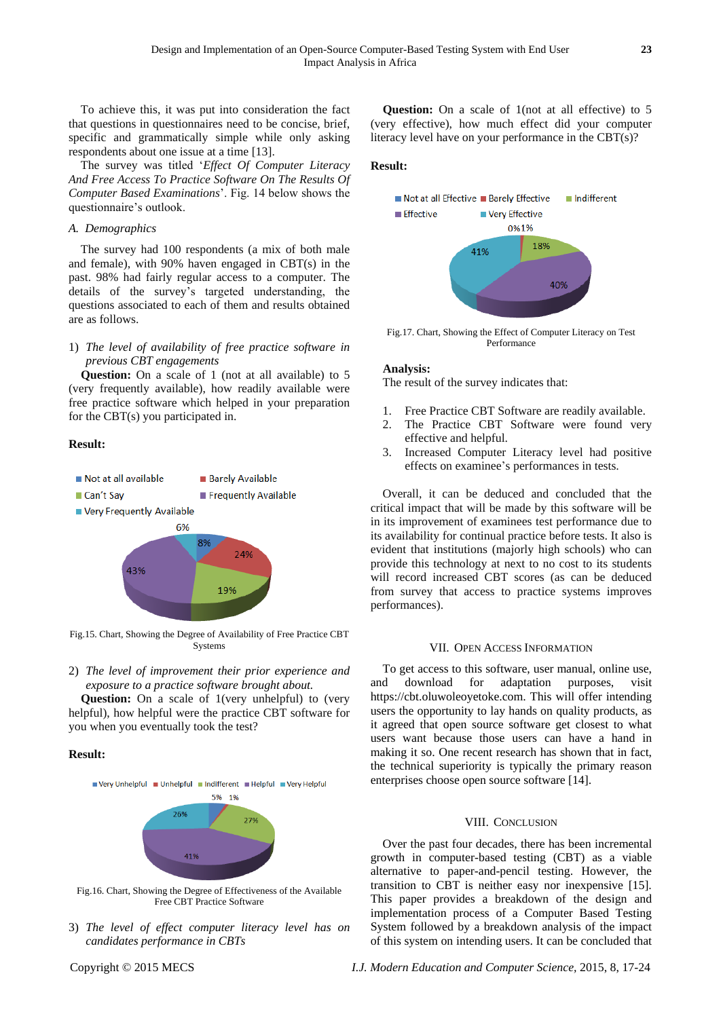To achieve this, it was put into consideration the fact that questions in questionnaires need to be concise, brief, specific and grammatically simple while only asking respondents about one issue at a time [13].

The survey was titled '*Effect Of Computer Literacy And Free Access To Practice Software On The Results Of Computer Based Examinations*'. Fig. 14 below shows the questionnaire's outlook.

#### *A. Demographics*

The survey had 100 respondents (a mix of both male and female), with 90% haven engaged in CBT(s) in the past. 98% had fairly regular access to a computer. The details of the survey's targeted understanding, the questions associated to each of them and results obtained are as follows.

# 1) *The level of availability of free practice software in previous CBT engagements*

**Question:** On a scale of 1 (not at all available) to 5 (very frequently available), how readily available were free practice software which helped in your preparation for the CBT(s) you participated in.

#### **Result:**



Fig.15. Chart, Showing the Degree of Availability of Free Practice CBT **Systems** 

2) *The level of improvement their prior experience and exposure to a practice software brought about.*

**Question:** On a scale of 1(very unhelpful) to (very helpful), how helpful were the practice CBT software for you when you eventually took the test?

#### **Result:**



Fig.16. Chart, Showing the Degree of Effectiveness of the Available Free CBT Practice Software

3) *The level of effect computer literacy level has on candidates performance in CBTs*

#### **Result:**



Fig.17. Chart, Showing the Effect of Computer Literacy on Test Performance

#### **Analysis:**

The result of the survey indicates that:

- 1. Free Practice CBT Software are readily available.
- 2. The Practice CBT Software were found very effective and helpful.
- 3. Increased Computer Literacy level had positive effects on examinee's performances in tests.

Overall, it can be deduced and concluded that the critical impact that will be made by this software will be in its improvement of examinees test performance due to its availability for continual practice before tests. It also is evident that institutions (majorly high schools) who can provide this technology at next to no cost to its students will record increased CBT scores (as can be deduced from survey that access to practice systems improves performances).

#### VII. OPEN ACCESS INFORMATION

To get access to this software, user manual, online use, and download for adaptation purposes, visit https://cbt.oluwoleoyetoke.com. This will offer intending users the opportunity to lay hands on quality products, as it agreed that open source software get closest to what users want because those users can have a hand in making it so. One recent research has shown that in fact, the technical superiority is typically the primary reason enterprises choose open source software [14].

#### VIII. CONCLUSION

Over the past four decades, there has been incremental growth in computer-based testing (CBT) as a viable alternative to paper-and-pencil testing. However, the transition to CBT is neither easy nor inexpensive [15]. This paper provides a breakdown of the design and implementation process of a Computer Based Testing System followed by a breakdown analysis of the impact of this system on intending users. It can be concluded that